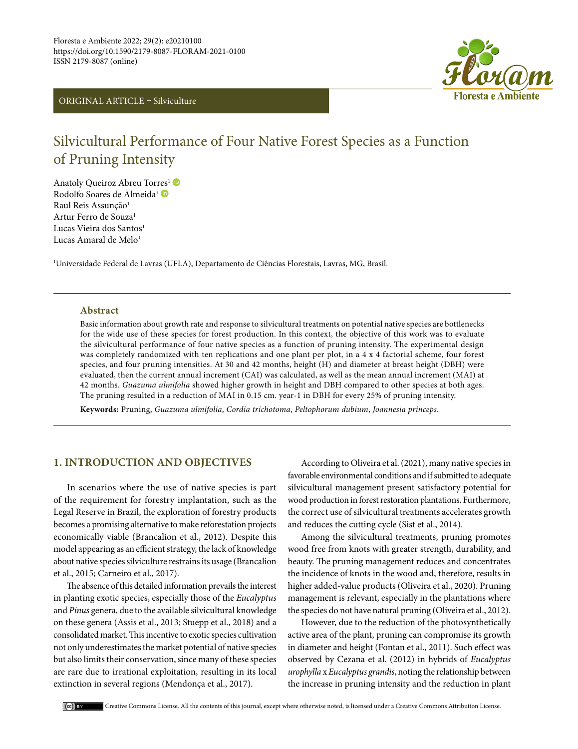# ORIGINAL ARTICLE – Silviculture



# Silvicultural Performance of Four Native Forest Species as a Function of Pruning Intensity

Anatoly Queiroz Abreu Tor[res](https://orcid.org/0000-0003-1952-2266)<sup>1</sup> Rodolfo Soares de Almeida<sup>1</sup> Raul Reis Assunção<sup>1</sup> Artur Ferro de Souza<sup>1</sup> Lucas Vieira dos Santos<sup>1</sup> Lucas Amaral de Melo<sup>1</sup>

1 Universidade Federal de Lavras (UFLA), Departamento de Ciências Florestais, Lavras, MG, Brasil.

## **Abstract**

Basic information about growth rate and response to silvicultural treatments on potential native species are bottlenecks for the wide use of these species for forest production. In this context, the objective of this work was to evaluate the silvicultural performance of four native species as a function of pruning intensity. The experimental design was completely randomized with ten replications and one plant per plot, in a 4 x 4 factorial scheme, four forest species, and four pruning intensities. At 30 and 42 months, height (H) and diameter at breast height (DBH) were evaluated, then the current annual increment (CAI) was calculated, as well as the mean annual increment (MAI) at 42 months. *Guazuma ulmifolia* showed higher growth in height and DBH compared to other species at both ages. The pruning resulted in a reduction of MAI in 0.15 cm. year-1 in DBH for every 25% of pruning intensity.

**Keywords:** Pruning, *Guazuma ulmifolia*, *Cordia trichotoma*, *Peltophorum dubium*, *Joannesia princeps*.

# **1. INTRODUCTION AND OBJECTIVES**

In scenarios where the use of native species is part of the requirement for forestry implantation, such as the Legal Reserve in Brazil, the exploration of forestry products becomes a promising alternative to make reforestation projects economically viable (Brancalion et al., 2012). Despite this model appearing as an efficient strategy, the lack of knowledge about native species silviculture restrains its usage (Brancalion et al., 2015; Carneiro et al., 2017).

The absence of this detailed information prevails the interest in planting exotic species, especially those of the *Eucalyptus* and *Pinus* genera, due to the available silvicultural knowledge on these genera (Assis et al., 2013; Stuepp et al., 2018) and a consolidated market. This incentive to exotic species cultivation not only underestimates the market potential of native species but also limits their conservation, since many of these species are rare due to irrational exploitation, resulting in its local extinction in several regions (Mendonça et al., 2017).

According to Oliveira et al. (2021), many native species in favorable environmental conditions and if submitted to adequate silvicultural management present satisfactory potential for wood production in forest restoration plantations. Furthermore, the correct use of silvicultural treatments accelerates growth and reduces the cutting cycle (Sist et al., 2014).

Among the silvicultural treatments, pruning promotes wood free from knots with greater strength, durability, and beauty. The pruning management reduces and concentrates the incidence of knots in the wood and, therefore, results in higher added-value products (Oliveira et al., 2020). Pruning management is relevant, especially in the plantations where the species do not have natural pruning (Oliveira et al., 2012).

However, due to the reduction of the photosynthetically active area of the plant, pruning can compromise its growth in diameter and height (Fontan et al., 2011). Such effect was observed by Cezana et al. (2012) in hybrids of *Eucalyptus urophylla* x *Eucalyptus grandis*, noting the relationship between the increase in pruning intensity and the reduction in plant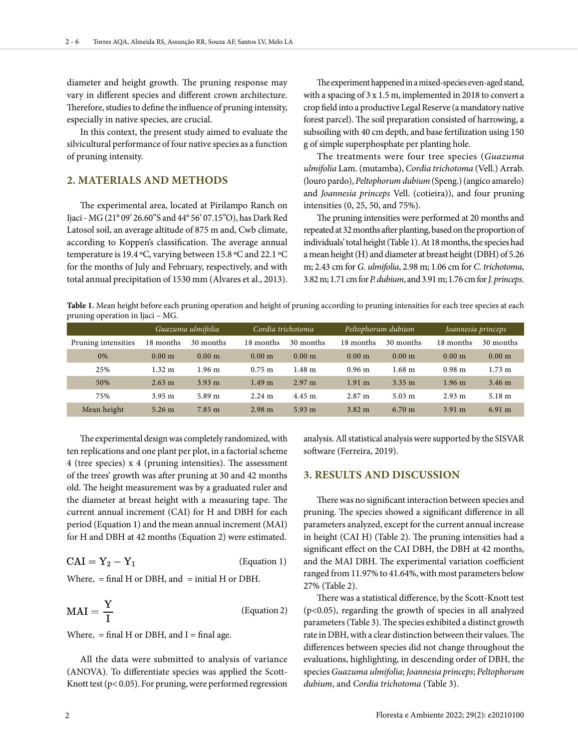diameter and height growth. The pruning response may vary in different species and different crown architecture. Therefore, studies to define the influence of pruning intensity, especially in native species, are crucial.

In this context, the present study aimed to evaluate the silvicultural performance of four native species as a function of pruning intensity.

# **2. MATERIALS AND METHODS**

The experimental area, located at Pirilampo Ranch on Ijaci - MG (21° 09' 26.60''S and 44° 56' 07.15''O), has Dark Red Latosol soil, an average altitude of 875 m and, Cwb climate, according to Koppen's classification. The average annual temperature is 19.4 ºC, varying between 15.8 ºC and 22.1 ºC for the months of July and February, respectively, and with total annual precipitation of 1530 mm (Alvares et al., 2013).

The experiment happened in a mixed-species even-aged stand, with a spacing of 3 x 1.5 m, implemented in 2018 to convert a crop field into a productive Legal Reserve (a mandatory native forest parcel). The soil preparation consisted of harrowing, a subsoiling with 40 cm depth, and base fertilization using 150 g of simple superphosphate per planting hole.

The treatments were four tree species (*Guazuma ulmifolia* Lam. (mutamba), *Cordia trichotoma* (Vell.) Arrab. (louro pardo), *Peltophorum dubium* (Speng.) (angico amarelo) and *Joannesia princeps* Vell. (cotieira)), and four pruning intensities (0, 25, 50, and 75%).

The pruning intensities were performed at 20 months and repeated at 32 months after planting, based on the proportion of individuals' total height (Table 1). At 18 months, the species had a mean height (H) and diameter at breast height (DBH) of 5.26 m; 2.43 cm for *G. ulmifolia*, 2.98 m; 1.06 cm for *C. trichotoma*, 3.82 m; 1.71 cm for *P. dubium*, and 3.91 m; 1.76 cm for *J. princeps*.

**Table 1.** Mean height before each pruning operation and height of pruning according to pruning intensities for each tree species at each pruning operation in Ijaci – MG.

|                     |                      | Guazuma ulmifolia | Cordia trichotoma    |                      | Peltophorum dubium |                      | Joannesia princeps |                      |  |
|---------------------|----------------------|-------------------|----------------------|----------------------|--------------------|----------------------|--------------------|----------------------|--|
| Pruning intensities | 18 months            | 30 months         | 18 months            | 30 months            | 18 months          | 30 months            | 18 months          | 30 months            |  |
| 0%                  | 0.00 <sub>m</sub>    | 0.00 <sub>m</sub> | 0.00 <sub>m</sub>    | 0.00 <sub>m</sub>    | 0.00 <sub>m</sub>  | 0.00 <sub>m</sub>    | 0.00 <sub>m</sub>  | 0.00 <sub>m</sub>    |  |
| 25%                 | $1.32 \; \mathrm{m}$ | $1.96 \text{ m}$  | $0.75 \; \mathrm{m}$ | $1.48 \;{\rm m}$     | 0.96 <sub>m</sub>  | 1.68 <sub>m</sub>    | 0.98 <sub>m</sub>  | $1.73 \; \mathrm{m}$ |  |
| 50%                 | $2.63 \text{ m}$     | $3.93 \text{ m}$  | 1.49 <sub>m</sub>    | 2.97 m               | $1.91 \text{ m}$   | $3.35 \text{ m}$     | 1.96 <sub>m</sub>  | $3.46 \text{ m}$     |  |
| 75%                 | $3.95 \text{ m}$     | 5.89 m            | $2.24 \text{ m}$     | $4.45 \; \mathrm{m}$ | 2.87 <sub>m</sub>  | $5.03 \; \mathrm{m}$ | $2.93 \text{ m}$   | 5.18 <sub>m</sub>    |  |
| Mean height         | $5.26 \text{ m}$     | $7.85$ m          | 2.98 m               | $5.93 \; m$          | $3.82 \text{ m}$   | $6.70 \text{ m}$     | 3.91 m             | $6.91 \text{ m}$     |  |

The experimental design was completely randomized, with ten replications and one plant per plot, in a factorial scheme 4 (tree species) x 4 (pruning intensities). The assessment of the trees' growth was after pruning at 30 and 42 months old. The height measurement was by a graduated ruler and the diameter at breast height with a measuring tape. The current annual increment (CAI) for H and DBH for each period (Equation 1) and the mean annual increment (MAI) for H and DBH at 42 months (Equation 2) were estimated.

$$
CAI = Y_2 - Y_1
$$
 (Equation 1)

Where,  $=$  final H or DBH, and  $=$  initial H or DBH.

$$
MAI = \frac{Y}{I}
$$
 (Equation 2)

Where,  $=$  final H or DBH, and I  $=$  final age.

All the data were submitted to analysis of variance (ANOVA). To differentiate species was applied the Scott-Knott test (p< 0.05). For pruning, were performed regression

analysis. All statistical analysis were supported by the SISVAR software (Ferreira, 2019).

### **3. RESULTS AND DISCUSSION**

There was no significant interaction between species and pruning. The species showed a significant difference in all parameters analyzed, except for the current annual increase in height (CAI H) (Table 2). The pruning intensities had a significant effect on the CAI DBH, the DBH at 42 months, and the MAI DBH. The experimental variation coefficient ranged from 11.97% to 41.64%, with most parameters below 27% (Table 2).

There was a statistical difference, by the Scott-Knott test (p<0.05), regarding the growth of species in all analyzed parameters (Table 3). The species exhibited a distinct growth rate in DBH, with a clear distinction between their values. The differences between species did not change throughout the evaluations, highlighting, in descending order of DBH, the species *Guazuma ulmifolia*; *Joannesia princeps*; *Peltophorum dubium*, and *Cordia trichotoma* (Table 3).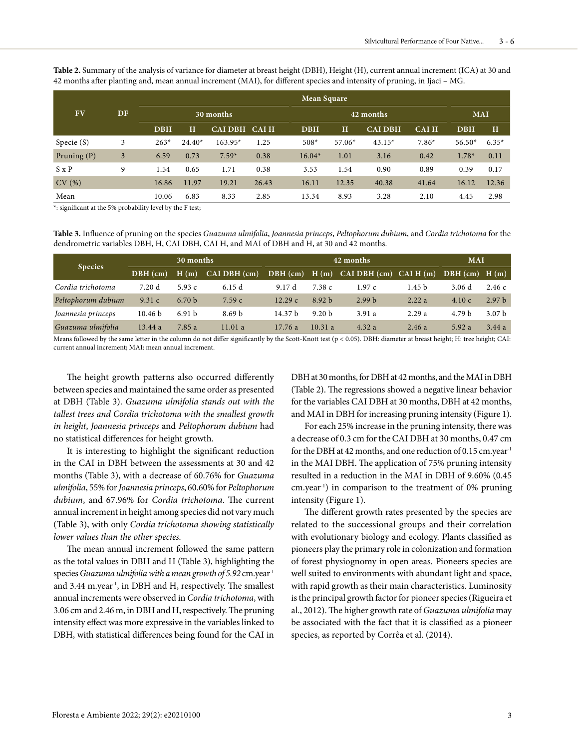**Table 2.** Summary of the analysis of variance for diameter at breast height (DBH), Height (H), current annual increment (ICA) at 30 and 42 months after planting and, mean annual increment (MAI), for different species and intensity of pruning, in Ijaci – MG.

|               |    | <b>Mean Square</b> |          |               |       |  |            |          |                |             |            |         |
|---------------|----|--------------------|----------|---------------|-------|--|------------|----------|----------------|-------------|------------|---------|
| FV            | DF | 30 months          |          |               |       |  | 42 months  |          |                |             | <b>MAI</b> |         |
|               |    | <b>DBH</b>         | H        | CAI DBH CAI H |       |  | <b>DBH</b> | $\bf H$  | <b>CAI DBH</b> | <b>CAIH</b> | <b>DBH</b> | H       |
| Specie (S)    | 3  | $263*$             | $24.40*$ | $163.95*$     | 1.25  |  | $508*$     | $57.06*$ | $43.15*$       | $7.86*$     | $56.50*$   | $6.35*$ |
| Pruning $(P)$ | 3  | 6.59               | 0.73     | $7.59*$       | 0.38  |  | $16.04*$   | 1.01     | 3.16           | 0.42        | $1.78*$    | 0.11    |
| $S \times P$  | 9  | 1.54               | 0.65     | 1.71          | 0.38  |  | 3.53       | 1.54     | 0.90           | 0.89        | 0.39       | 0.17    |
| CV(%)         |    | 16.86              | 11.97    | 19.21         | 26.43 |  | 16.11      | 12.35    | 40.38          | 41.64       | 16.12      | 12.36   |
| Mean          |    | 10.06              | 6.83     | 8.33          | 2.85  |  | 13.34      | 8.93     | 3.28           | 2.10        | 4.45       | 2.98    |

\*: significant at the 5% probability level by the F test;

**Table 3.** Influence of pruning on the species *Guazuma ulmifolia*, *Joannesia princeps*, *Peltophorum dubium*, and *Cordia trichotoma* for the dendrometric variables DBH, H, CAI DBH, CAI H, and MAI of DBH and H, at 30 and 42 months.

| <b>Species</b>     |            | 30 months         |                         |            | <b>MAI</b>        |                                   |                   |                   |                   |
|--------------------|------------|-------------------|-------------------------|------------|-------------------|-----------------------------------|-------------------|-------------------|-------------------|
|                    | $DBH$ (cm) | H(m)              | $CAI$ DBH $(\text{cm})$ | $DBH$ (cm) |                   | $H(m)$ CAI DBH $(cm)$ CAI H $(m)$ |                   | $DBH$ (cm) $H(m)$ |                   |
| Cordia trichotoma  | 7.20 d     | 5.93 $c$          | 6.15d                   | 9.17 d     | 7.38c             | 1.97c                             | 1.45 <sub>b</sub> | 3.06 d            | 2.46c             |
| Peltophorum dubium | 9.31 c     | 6.70 <sub>b</sub> | 7.59c                   | 12.29c     | 8.92 <sub>b</sub> | 2.99 <sub>b</sub>                 | 2.22a             | 4.10c             | 2.97 <sub>b</sub> |
| Joannesia princeps | 10.46 b    | 6.91 <sub>b</sub> | 8.69 <sub>b</sub>       | 14.37 b    | 9.20 <sub>b</sub> | 3.91 a                            | 2.29a             | 4.79 <sub>b</sub> | 3.07 <sub>b</sub> |
| Guazuma ulmifolia  | 13.44a     | 7.85 a            | 11.01a                  | 17.76a     | 10.31a            | 4.32a                             | 2.46a             | 5.92a             | 3.44a             |

Means followed by the same letter in the column do not differ significantly by the Scott-Knott test (p < 0.05). DBH: diameter at breast height; H: tree height; CAI: current annual increment; MAI: mean annual increment.

The height growth patterns also occurred differently between species and maintained the same order as presented at DBH (Table 3). *Guazuma ulmifolia stands out with the tallest trees and Cordia trichotoma with the smallest growth in height*, *Joannesia princeps* and *Peltophorum dubium* had no statistical differences for height growth.

It is interesting to highlight the significant reduction in the CAI in DBH between the assessments at 30 and 42 months (Table 3), with a decrease of 60.76% for *Guazuma ulmifolia*, 55% for *Joannesia princeps*, 60.60% for *Peltophorum dubium*, and 67.96% for *Cordia trichotoma*. The current annual increment in height among species did not vary much (Table 3), with only *Cordia trichotoma showing statistically lower values than the other species.*

The mean annual increment followed the same pattern as the total values in DBH and H (Table 3), highlighting the species *Guazuma ulmifolia with a mean growth of 5.92* cm.year-1 and 3.44 m.year<sup>1</sup>, in DBH and H, respectively. The smallest annual increments were observed in *Cordia trichotoma*, with 3.06 cm and 2.46 m, in DBH and H, respectively. The pruning intensity effect was more expressive in the variables linked to DBH, with statistical differences being found for the CAI in

DBH at 30 months, for DBH at 42 months, and the MAI in DBH (Table 2). The regressions showed a negative linear behavior for the variables CAI DBH at 30 months, DBH at 42 months, and MAI in DBH for increasing pruning intensity (Figure 1).

For each 25% increase in the pruning intensity, there was a decrease of 0.3 cm for the CAI DBH at 30 months, 0.47 cm for the DBH at 42 months, and one reduction of 0.15 cm.year<sup>1</sup> in the MAI DBH. The application of 75% pruning intensity resulted in a reduction in the MAI in DBH of 9.60% (0.45 cm.year-1) in comparison to the treatment of 0% pruning intensity (Figure 1).

The different growth rates presented by the species are related to the successional groups and their correlation with evolutionary biology and ecology. Plants classified as pioneers play the primary role in colonization and formation of forest physiognomy in open areas. Pioneers species are well suited to environments with abundant light and space, with rapid growth as their main characteristics. Luminosity is the principal growth factor for pioneer species (Rigueira et al., 2012). The higher growth rate of *Guazuma ulmifolia* may be associated with the fact that it is classified as a pioneer species, as reported by Corrêa et al. (2014).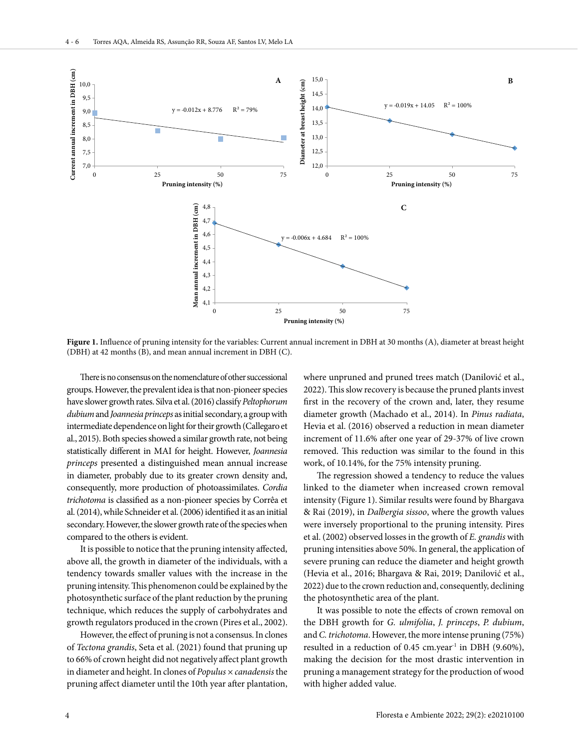

**Figure 1.** Influence of pruning intensity for the variables: Current annual increment in DBH at 30 months (A), diameter at breast height (DBH) at 42 months (B), and mean annual increment in DBH (C).

There is no consensus on the nomenclature of other successional groups. However, the prevalent idea is that non-pioneer species have slower growth rates. Silva et al. (2016) classify *Peltophorum dubium* and *Joannesia princeps* as initial secondary, a group with intermediate dependence on light for their growth (Callegaro et al., 2015). Both species showed a similar growth rate, not being statistically different in MAI for height. However, *Joannesia princeps* presented a distinguished mean annual increase in diameter, probably due to its greater crown density and, consequently, more production of photoassimilates. *Cordia trichotoma* is classified as a non-pioneer species by Corrêa et al. (2014), while Schneider et al. (2006) identified it as an initial secondary. However, the slower growth rate of the species when compared to the others is evident.

It is possible to notice that the pruning intensity affected, above all, the growth in diameter of the individuals, with a tendency towards smaller values with the increase in the pruning intensity. This phenomenon could be explained by the photosynthetic surface of the plant reduction by the pruning technique, which reduces the supply of carbohydrates and growth regulators produced in the crown (Pires et al., 2002).

However, the effect of pruning is not a consensus. In clones of *Tectona grandis*, Seta et al. (2021) found that pruning up to 66% of crown height did not negatively affect plant growth in diameter and height. In clones of *Populus × canadensis* the pruning affect diameter until the 10th year after plantation,

where unpruned and pruned trees match (Danilović et al., 2022). This slow recovery is because the pruned plants invest first in the recovery of the crown and, later, they resume diameter growth (Machado et al., 2014). In *Pinus radiata*, Hevia et al. (2016) observed a reduction in mean diameter increment of 11.6% after one year of 29-37% of live crown removed. This reduction was similar to the found in this work, of 10.14%, for the 75% intensity pruning.

The regression showed a tendency to reduce the values linked to the diameter when increased crown removal intensity (Figure 1). Similar results were found by Bhargava & Rai (2019), in *Dalbergia sissoo*, where the growth values were inversely proportional to the pruning intensity. Pires et al. (2002) observed losses in the growth of *E. grandis* with pruning intensities above 50%. In general, the application of severe pruning can reduce the diameter and height growth (Hevia et al., 2016; Bhargava & Rai, 2019; Danilović et al., 2022) due to the crown reduction and, consequently, declining the photosynthetic area of the plant.

It was possible to note the effects of crown removal on the DBH growth for *G. ulmifolia*, *J. princeps*, *P. dubium*, and *C. trichotoma*. However, the more intense pruning (75%) resulted in a reduction of 0.45 cm.year<sup>-1</sup> in DBH (9.60%), making the decision for the most drastic intervention in pruning a management strategy for the production of wood with higher added value.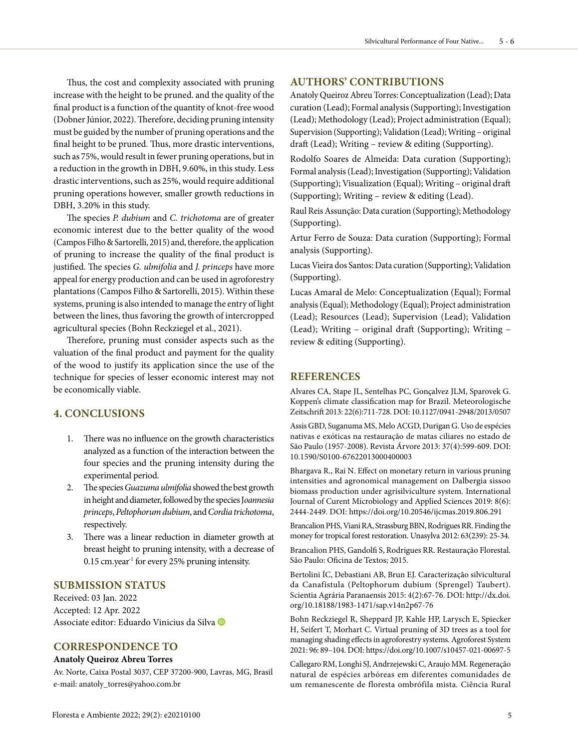Thus, the cost and complexity associated with pruning increase with the height to be pruned. and the quality of the final product is a function of the quantity of knot-free wood (Dobner Júnior, 2022). Therefore, deciding pruning intensity must be guided by the number of pruning operations and the final height to be pruned. Thus, more drastic interventions, such as 75%, would result in fewer pruning operations, but in a reduction in the growth in DBH, 9.60%, in this study. Less drastic interventions, such as 25%, would require additional pruning operations however, smaller growth reductions in DBH, 3.20% in this study.

The species *P. dubium* and *C. trichotoma* are of greater economic interest due to the better quality of the wood (Campos Filho & Sartorelli, 2015) and, therefore, the application of pruning to increase the quality of the final product is justified. The species *G. ulmifolia* and *J. princeps* have more appeal for energy production and can be used in agroforestry plantations (Campos Filho & Sartorelli, 2015). Within these systems, pruning is also intended to manage the entry of light between the lines, thus favoring the growth of intercropped agricultural species (Bohn Reckziegel et al., 2021).

Therefore, pruning must consider aspects such as the valuation of the final product and payment for the quality of the wood to justify its application since the use of the technique for species of lesser economic interest may not be economically viable.

# **4. CONCLUSIONS**

- 1. There was no influence on the growth characteristics analyzed as a function of the interaction between the four species and the pruning intensity during the experimental period.
- 2. The species *Guazuma ulmifolia* showed the best growth in height and diameter, followed by the species J*oannesia princeps*, *Peltophorum dubium*, and *Cordia trichotoma*, respectively.
- 3. There was a linear reduction in diameter growth at breast height to pruning intensity, with a decrease of  $0.15$  cm.year<sup>1</sup> for every 25% pruning intensity.

# **SUBMISSION STATUS**

Received: 03 Jan. 2022 Accepted: 12 Apr. 2022 Associate editor: Eduardo Vinicius da Silva

### **CORRESPONDENCE TO**

#### **Anatoly Queiroz Abreu Torres**

Av. Norte, Caixa Postal 3037, CEP 37200-900, Lavras, MG, Brasil e-mail: anatoly\_torres@yahoo.com.br

# **AUTHORS' CONTRIBUTIONS**

Anatoly Queiroz Abreu Torres: Conceptualization (Lead); Data curation (Lead); Formal analysis (Supporting); Investigation (Lead); Methodology (Lead); Project administration (Equal); Supervision (Supporting); Validation (Lead); Writing – original draft (Lead); Writing – review & editing (Supporting).

Rodolfo Soares de Almeida: Data curation (Supporting); Formal analysis (Lead); Investigation (Supporting); Validation (Supporting); Visualization (Equal); Writing – original draft (Supporting); Writing – review & editing (Lead).

Raul Reis Assunção: Data curation (Supporting); Methodology (Supporting).

Artur Ferro de Souza: Data curation (Supporting); Formal analysis (Supporting).

Lucas Vieira dos Santos: Data curation (Supporting); Validation (Supporting).

Lucas Amaral de Melo: Conceptualization (Equal); Formal analysis (Equal); Methodology (Equal); Project administration (Lead); Resources (Lead); Supervision (Lead); Validation (Lead); Writing – original draft (Supporting); Writing – review & editing (Supporting).

### **REFERENCES**

Alvares CA, Stape JL, Sentelhas PC, Gonçalvez JLM, Sparovek G. Koppen's climate classification map for Brazil. Meteorologische Zeitschrift 2013: 22(6):711-728. DOI: 10.1127/0941-2948/2013/0507

Assis GBD, Suganuma MS, Melo ACGD, Durigan G. Uso de espécies nativas e exóticas na restauração de matas ciliares no estado de São Paulo (1957-2008). Revista Árvore 2013: 37(4):599-609. DOI: 10.1590/S0100-67622013000400003

Bhargava R., Rai N. Effect on monetary return in various pruning intensities and agronomical management on Dalbergia sissoo biomass production under agrisilviculture system. International Journal of Curent Microbiology and Applied Sciences 2019: 8(6): 2444-2449. DOI: https://doi.org/10.20546/ijcmas.2019.806.291

Brancalion PHS, Viani RA, Strassburg BBN, Rodrigues RR. Finding the money for tropical forest restoration. Unasylva 2012: 63(239): 25-34.

Brancalion PHS, Gandolfi S, Rodrigues RR. Restauração Florestal. São Paulo: Oficina de Textos; 2015.

Bertolini ÍC, Debastiani AB, Brun EJ. Caracterização silvicultural da Canafístula (Peltophorum dubium (Sprengel) Taubert). Scientia Agrária Paranaensis 2015: 4(2):67-76. DOI: http://dx.doi. org/10.18188/1983-1471/sap.v14n2p67-76

Bohn Reckziegel R, Sheppard JP, Kahle HP, Larysch E, Spiecker H, Seifert T, Morhart C. Virtual pruning of 3D trees as a tool for managing shading effects in agroforestry systems. Agroforest System 2021: 96: 89–104. DOI: https://doi.org/10.1007/s10457-021-00697-5

Callegaro RM, Longhi SJ, Andrzejewski C, Araujo MM. Regeneração natural de espécies arbóreas em diferentes comunidades de um remanescente de floresta ombrófila mista. Ciência Rural